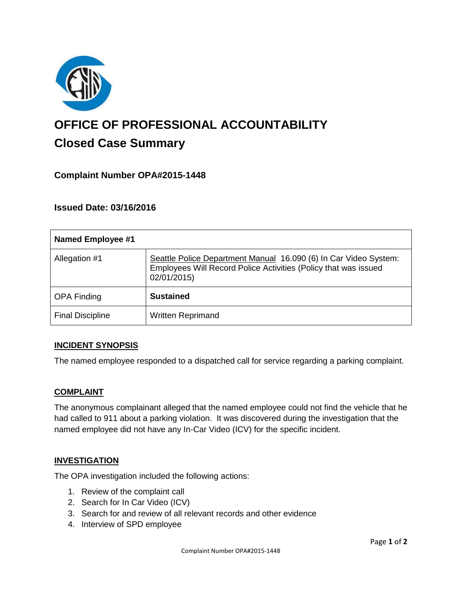

# **OFFICE OF PROFESSIONAL ACCOUNTABILITY Closed Case Summary**

# **Complaint Number OPA#2015-1448**

**Issued Date: 03/16/2016**

| <b>Named Employee #1</b> |                                                                                                                                                    |
|--------------------------|----------------------------------------------------------------------------------------------------------------------------------------------------|
| Allegation #1            | Seattle Police Department Manual 16.090 (6) In Car Video System:<br>Employees Will Record Police Activities (Policy that was issued<br>02/01/2015) |
| <b>OPA Finding</b>       | <b>Sustained</b>                                                                                                                                   |
| <b>Final Discipline</b>  | <b>Written Reprimand</b>                                                                                                                           |

#### **INCIDENT SYNOPSIS**

The named employee responded to a dispatched call for service regarding a parking complaint.

#### **COMPLAINT**

The anonymous complainant alleged that the named employee could not find the vehicle that he had called to 911 about a parking violation. It was discovered during the investigation that the named employee did not have any In-Car Video (ICV) for the specific incident.

#### **INVESTIGATION**

The OPA investigation included the following actions:

- 1. Review of the complaint call
- 2. Search for In Car Video (ICV)
- 3. Search for and review of all relevant records and other evidence
- 4. Interview of SPD employee